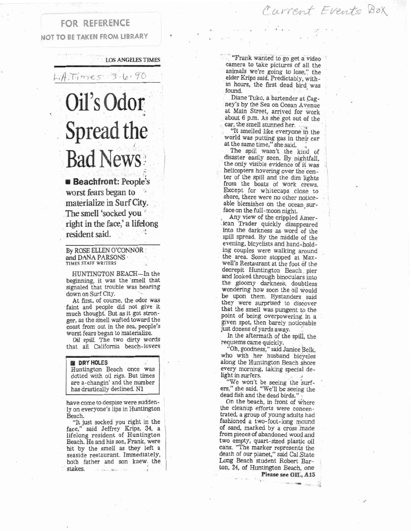### Current Events Box

### FOR REFERENCE **NOT TO BE TAKEN FROM LIBRARY**

**LOS ANGELES TIMES** 

#### $3.6.90$ A.T. mes

# Oil's Odor Spread the Bad News

 $B$  Beachfront: People's worst fears began to materialize in Surf City. The smell **'socked** you ' right in the face,' a lifelong resident said.

By ROSE ELLEN O'CONNOR and DANA PARSONS **TIMES STAFF WRITERS** 

HUNTINGTON BEACH-In the beginning, it was the 'smell that signaled that trouble was bearing down on Surf City.

At first, of course, the odor was faint and people did not give it much thougbt. But as it got stronger, as the smell wafted toward the coast from out in the sea, people's worst fears began to materialize.

*Oil spill*. The two dirty words that all California beach-lovers

#### **BI DRY HOLES**

Huntington Beach once was dotted with oil rigs. But times are a-changin' and the number has drastically declined. N1

have come to despise were suddenly on everyone's lips in Huntington Beach.

"It just socked you right in the face," said Jeffrey Krips, 34, a lifelong resident of Huntington Beach. He and his son, Frank, were hit by the smell as they left a seaside restaurant. Immediately, both father and son knew. the stakes. **dl (,a f** 

"Frank wanted to go get a video camera to take pictures of all the animals we're going to lose," the elder Krips said. Predictably, within hours, the first dead bird, was found.

Diane Tuko, a bartender at Cagney's by the Sea on Ocean Avenue at Main Street, arrived for work about *6* p.m. As she got out of the car, the smell stunned her.

"It smelled like everyone in the world was putting gas in their car at the same time," she said.

The spill wasn't the kind of disaster easily seen. By nightfall, the only visible evidence of it was helicopters hovering over the cen ter of the spill and the dim lights from the boats of work crews. Except for whitecaps close to shore, there were no other notice-<br>able blemishes on the ocean surface on the full-moon night.

Any view of the crippled Amer-.ican Trader quickly disappeared into the darkness as word of the spill spread. By the middle of the evening, bicyclists and hand-hold ing couples were walking around the area. Some stopped at Maxwell's Restaurant at the foot of the decrepit Huntington Beach pier and looked through binoculars into the gloomy darkness, doubtless wondering how soon the oil would be upon them. Bystanders sald they were surprised to discover that the smell was pungent to the point of being overpowering in a glven spot, then barely noticeable just dozens of yards away.

In the aftermath of the spill, the requiems came quickly.

"Oh, goodness," said Janice Belk, who with her husband bicycles along the Huntington Beach shore every morning, taking special de-light in surfers. , "We won't be seeing the **%turf-** '

ers," she said. "We'll be seeing the said. "We'll be seeing the lead fish and the dead birds."

dead fish and the dead birds."<br>On the beach, in front of where the cleanup efforts were concentrated, a group of young adults had fashioned a two-foot-long mound of sand, marked by a cross made from pieces of abandoned wood and two empty, quart-sized plastic oil cans. "The marker represents the death of our planet," said Cal State Long Beach student Robert Barton, 24, of Huntington Beach, one ., of Huntington Beach, one<br> **Please see OIL, A15**